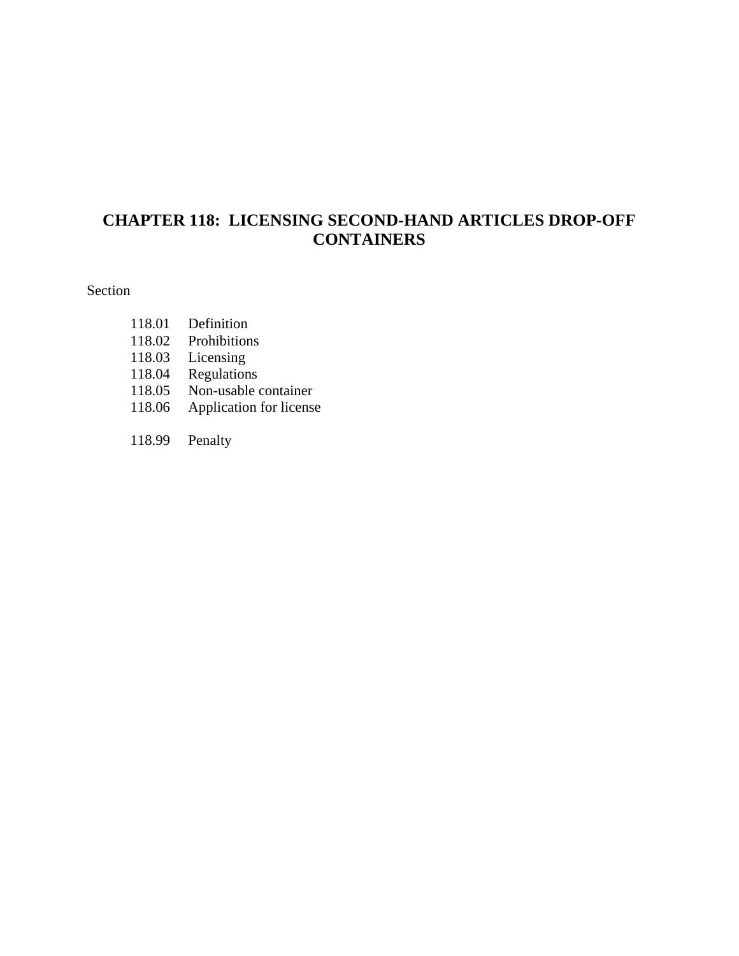# **CHAPTER 118: LICENSING SECOND-HAND ARTICLES DROP-OFF CONTAINERS**

#### Section

- 118.01 Definition 118.02 Prohibitions
- 118.03 Licensing
- 118.04 Regulations
- 118.05 Non-usable container
- 118.06 Application for license
- 118.99 Penalty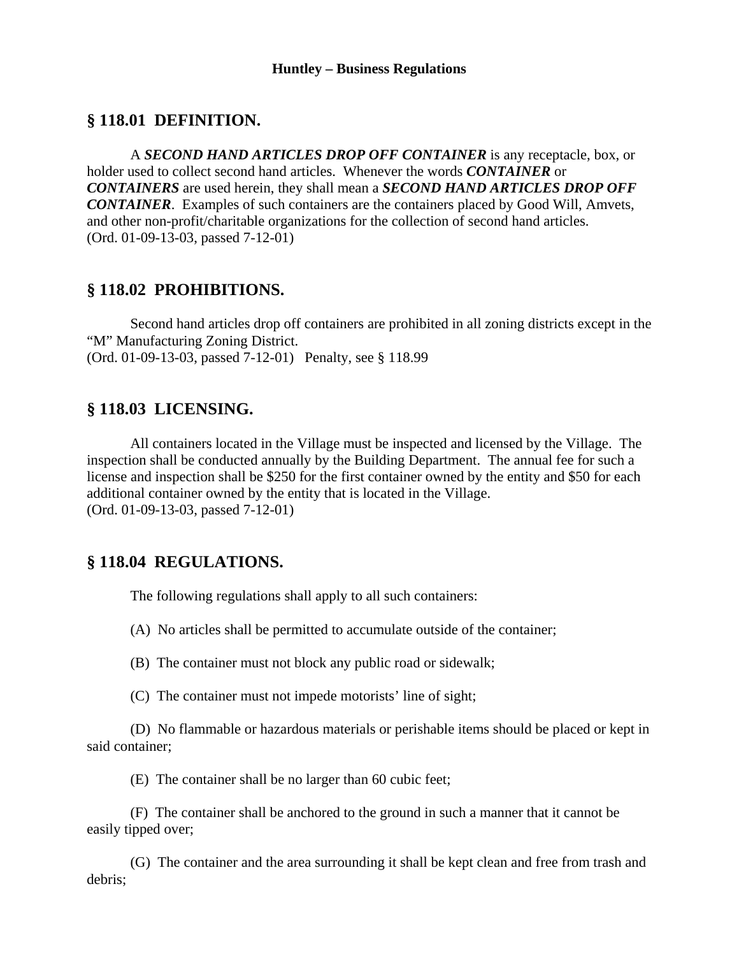### **§ 118.01 DEFINITION.**

 A *SECOND HAND ARTICLES DROP OFF CONTAINER* is any receptacle, box, or holder used to collect second hand articles. Whenever the words *CONTAINER* or *CONTAINERS* are used herein, they shall mean a *SECOND HAND ARTICLES DROP OFF CONTAINER*. Examples of such containers are the containers placed by Good Will, Amvets, and other non-profit/charitable organizations for the collection of second hand articles. (Ord. 01-09-13-03, passed 7-12-01)

#### **§ 118.02 PROHIBITIONS.**

 Second hand articles drop off containers are prohibited in all zoning districts except in the "M" Manufacturing Zoning District. (Ord. 01-09-13-03, passed 7-12-01) Penalty, see § 118.99

### **§ 118.03 LICENSING.**

 All containers located in the Village must be inspected and licensed by the Village. The inspection shall be conducted annually by the Building Department. The annual fee for such a license and inspection shall be \$250 for the first container owned by the entity and \$50 for each additional container owned by the entity that is located in the Village. (Ord. 01-09-13-03, passed 7-12-01)

### **§ 118.04 REGULATIONS.**

The following regulations shall apply to all such containers:

(A) No articles shall be permitted to accumulate outside of the container;

(B) The container must not block any public road or sidewalk;

(C) The container must not impede motorists' line of sight;

 (D) No flammable or hazardous materials or perishable items should be placed or kept in said container;

(E) The container shall be no larger than 60 cubic feet;

 (F) The container shall be anchored to the ground in such a manner that it cannot be easily tipped over;

 (G) The container and the area surrounding it shall be kept clean and free from trash and debris;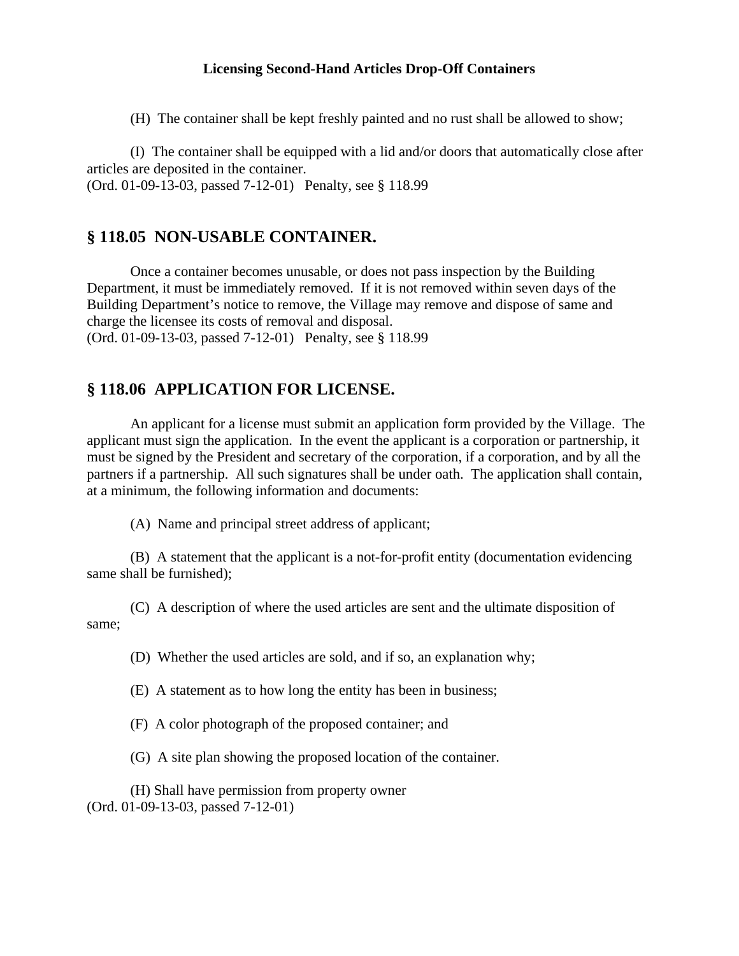#### **Licensing Second-Hand Articles Drop-Off Containers**

(H) The container shall be kept freshly painted and no rust shall be allowed to show;

 (I) The container shall be equipped with a lid and/or doors that automatically close after articles are deposited in the container. (Ord. 01-09-13-03, passed 7-12-01) Penalty, see § 118.99

#### **§ 118.05 NON-USABLE CONTAINER.**

 Once a container becomes unusable, or does not pass inspection by the Building Department, it must be immediately removed. If it is not removed within seven days of the Building Department's notice to remove, the Village may remove and dispose of same and charge the licensee its costs of removal and disposal.

(Ord. 01-09-13-03, passed 7-12-01) Penalty, see § 118.99

## **§ 118.06 APPLICATION FOR LICENSE.**

 An applicant for a license must submit an application form provided by the Village. The applicant must sign the application. In the event the applicant is a corporation or partnership, it must be signed by the President and secretary of the corporation, if a corporation, and by all the partners if a partnership. All such signatures shall be under oath. The application shall contain, at a minimum, the following information and documents:

(A) Name and principal street address of applicant;

 (B) A statement that the applicant is a not-for-profit entity (documentation evidencing same shall be furnished);

 (C) A description of where the used articles are sent and the ultimate disposition of same;

(D) Whether the used articles are sold, and if so, an explanation why;

(E) A statement as to how long the entity has been in business;

(F) A color photograph of the proposed container; and

(G) A site plan showing the proposed location of the container.

(H) Shall have permission from property owner

(Ord. 01-09-13-03, passed 7-12-01)